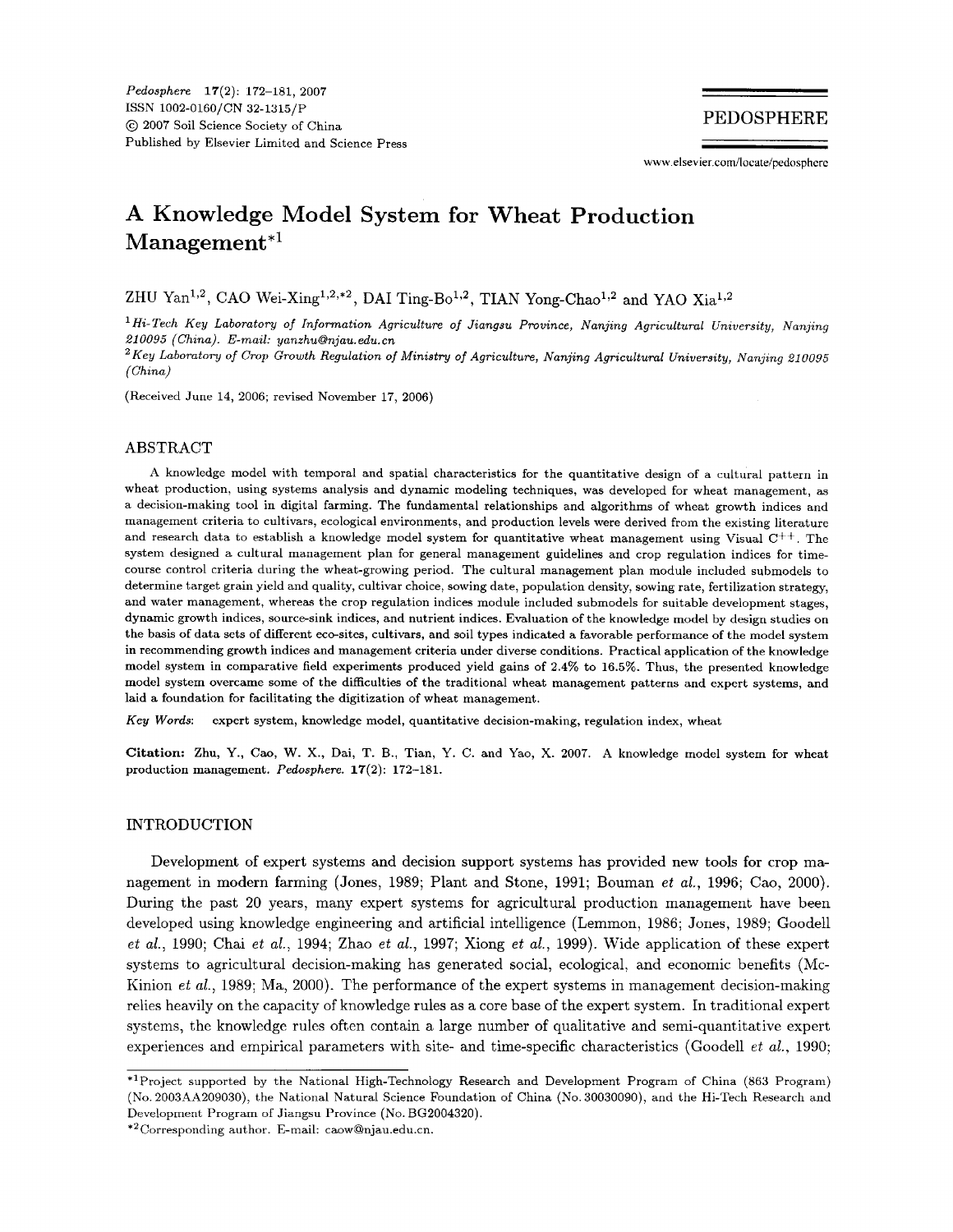**www elsevier** com/locate/pedospherc

## **A Knowledge Model System for Wheat Production Management\*'**

ZHU Yan<sup>1,2</sup>, CAO Wei-Xing<sup>1,2,\*2</sup>, DAI Ting-Bo<sup>1,2</sup>, TIAN Yong-Chao<sup>1,2</sup> and YAO Xia<sup>1,2</sup>

Hi-Tech Key Laboratory of Information Agriculture *of* Jiangsu Province, Nanjing Agricultural University, Nanjing 210095 (China). E-mail: yanzhu@njau.edu.cn

Key Laboratory of Crop Growth Regulation of Ministry of Agriculture, Nanjing Agricultural University, Nanjing *21 0095*  (China)

(Received June **14, 2006;** revised November **17, 2006)** 

#### ABSTRACT

**A** knowledge model with temporal and spatial characteristics for the quantitative design of a cultural pattern in wheat production, using systems analysis and dynamic modeling techniques, was developed for wheat management, as a decision-making tool in digital farming. The fundamental relationships and algorithms of wheat growth indices and management criteria to cultivars, ecological environments, and production levels were derived from the existing literature and research data to establish a knowledge model system for quantitative wheat management using Visual *C++.* The system designed a cultural management plan for general management guidelines and crop regulation indices for timecourse control criteria during the wheat-growing period. The cultural management plan module included submodels to determine target grain yield and quality, cultivar choice, sowing date, population density, sowing rate, fertilization strategy, and water management, whereas the crop regulation indices module included submodels for suitable development stages, dynamic growth indices, source-sink indices, and nutrient indices. Evaluation of the knowledge model by design studies on the basis of data sets of different eco-sites, cultivars, and soil types indicated a favorable performance of the model system in recommending growth indices and management criteria under diverse conditions. Practical application of the knowledge model system in comparative field experiments produced yield gains of **2.4%** to **16.5%.** Thus, the presented knowledge model system overcame some of the difficulties of the traditional wheat management patterns and expert systems, and laid a foundation for facilitating the digitization of wheat management.

**Key** Words: expert system, knowledge model, quantitative decision-making, regulation index, wheat

**Citation:** Zhu, *Y., Caq* **W. X.,** Dai, T. B., Tian, Y. *C.* and Yao, X. **2007. A** knowledge model system **for** wheat production management. Pedosphere. **17(2): 172-181.** 

### **INTRODUCTION**

Development of expert systems and decision support systems has provided new tools for crop management in modern farming (Jones, 1989; Plant and Stone, 1991; Bouman *et ul.,* 1996; Cao, 2000). During the past 20 years, many expert systems for agricultural production management have been developed using knowledge engineering and artificial intelligence (Lemmon, 1986; Jones, 1989; Goodell *et al.,* 1990; Chai *et al.,* 1994; Zhao *et al.,* 1997; Xiong *et al.,* 1999). Wide application of these expert systems to agricultural decision-making has generated social, ecological, and economic benefits (Mc-Kinion *et al.,* 1989; Ma, 2000). The performance of the expert systems in management decision-making relies heavily on the capacity of knowledge rules as a core base of the expert system. In traditional expert systems, the knowledge rules often contain a large number of qualitative and semi-quantitative expert experiences and empirical parameters with site- and time-specific characteristics (Goodell *et al.,* 1990;

\*'Project supported by the National High-Technology Research and Development Program of China **(863** Program) (No. **2003A4A209030),** the National Natural Science Foundation of China (No. 30030090), and the Hi-Tech Research and Development Program of Jiangsu Province (No. **BG2004320).** 

<sup>\*&#</sup>x27;Corresponding author. E-mail: caow@njau,edu.cn.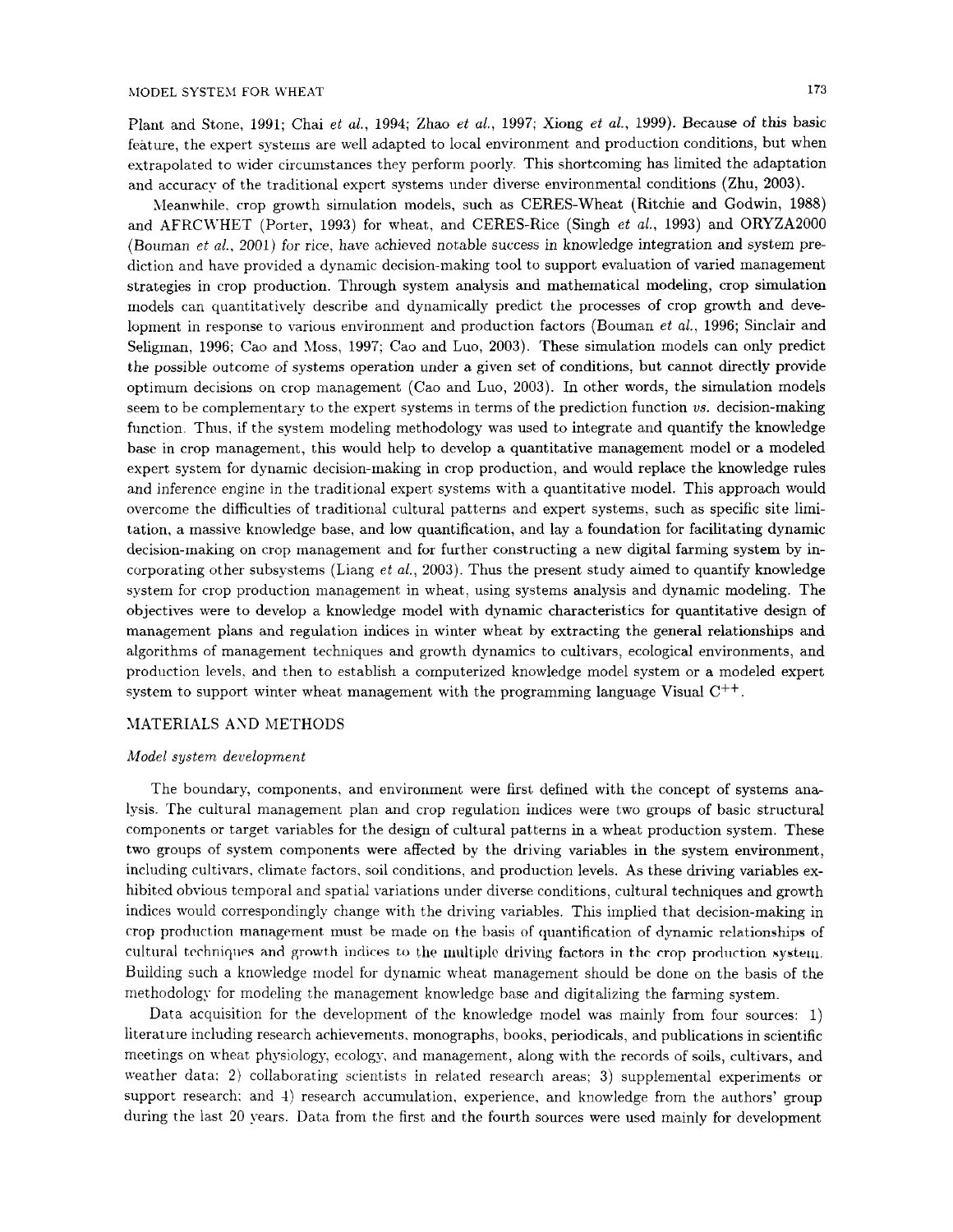Plant and Stone, 1991; Chai *et al.,* 1994; Zhao *et al.,* 1997; Xiong *et al.,* 1999). Because of this basic feature, the expert systems are well adapted to local environment and production conditions, but when extrapolated to wider circumstances they perform poorly. This shortcoming has limited the adaptation and accuracy of the traditional expert systems under diverse environmental conditions (Zhu, **2003).** 

Meanwhile, crop growth simulation models, such as CERES-Wheat (Ritchie and Godwin, 1988) and AFRCLVHET (Porter, 1993) for wheat, and CERES-Rice (Singh *et al.,* 1993) and ORYZA2000 (Bouman *et al.,* 2001) for rice, have achieved notable success in knowledge integration and system prediction and have provided a dynamic decision-making tool to support evaluation of varied management strategies in crop production. Through system analysis and mathematical modeling, crop simulation models can quantitatively describe and dynamically predict the processes of crop growth and development in response to various environment and production factors (Bouman *et al.,* 1996; Sinclair and Seligman. 1996: Cao and Moss, 1997; Cao and Luo, 2003). These simulation models can only predict the possible outcome of systems operation under a given set of conditions, but cannot directly provide optimum decisions on crop management (Cao and Luo, 2003). In other words, the simulation models seem to be complementary to the expert systems in terms of the prediction function *us.* decision-making function. Thus, if the system modeling methodology was used to integrate and quantify the knowledge base in crop management, this would help to develop a quantitative management model or a modeled expert system for dynamic decision-making in crop production, and would replace the knowledge rules and inference engine in the traditional expert systems with a quantitative model. This approach would overcome the difficulties of traditional cultural patterns and expert systems, such as specific site limitation, a massive knowledge base, and low quantification, and lay a foundation for facilitating dynamic decision-making on crop management and for further constructing a new digital farming system by incorporating other subsystems (Liang *et al.,* 2003). Thus the present study aimed to quantify knowledge system for crop production management in wheat, using systems analysis and dynamic modeling. The objectives were to develop a knowledge model with dynamic characteristics for quantitative design of management plans and regulation indices in winter wheat by extracting the general relationships and algorithms of management techniques and growth dynamics to cultivars, ecological environments, and production levels, and then to establish a computerized knowledge model system or a modeled expert system to support winter wheat management with the programming language Visual  $C^{++}$ .

### MATERIALS AND METHODS

#### *Model system development*

The boundary, components, and environment were first defined with the concept of systems analysis. The cultural management plan and crop regulation indices were two groups of basic structural components or target variables for the design of cultural patterns in a wheat production system. These two groups of system components were affected by the driving variables in the system environment, including cultivars, climate factors, soil conditions, and production levels. As these driving variables exhibited obvious temporal and spatial variations under diverse conditions, cultural techniques and growth indices would correspondingly change with the driving variables. This implied that decision-making in crop production management must be made on the basis of quantification of dynamic relationships of cultural techniques and growth indices to the multiple driving factors in the crop production system. Building such a knowledge model for dynamic wheat management should be done on the basis of the methodology for modeling the management knowledge base and digitalizing the farming system.

Data acquisition for the development of the knowledge model was mainly from four sources: 1) literature including research achievements. monographs, books, periodicals, and publications in scientific meetings on wheat physiology, ecology, and management, along with the records of soils, cultivars, and weather data: **2)** collaborating scientists in related research areas; **3)** supplemental experiments or support research; and 4) research accumulation, experience, and knowledge from the authors' group during the last **20** years. Data from the first and the fourth sources were used mainly for development